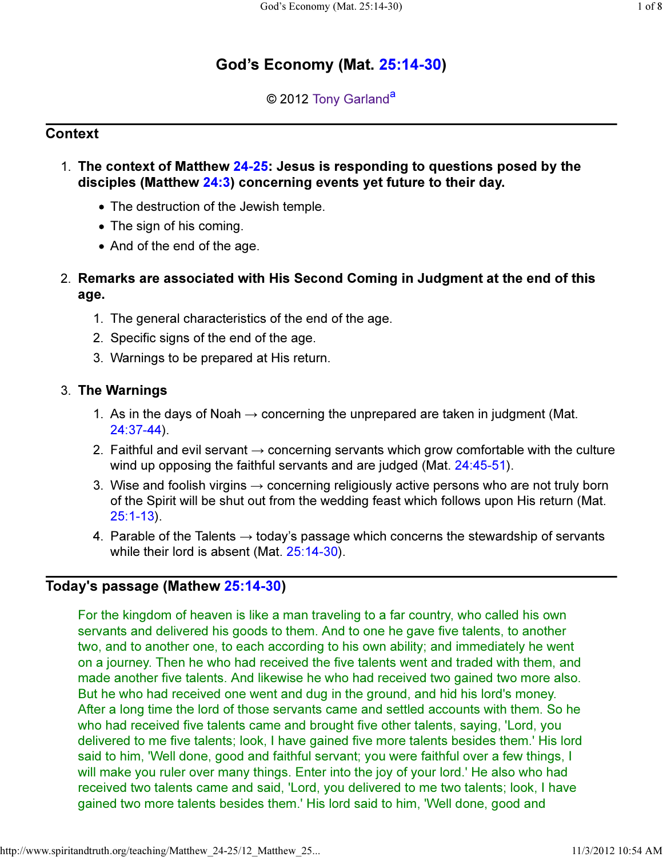# God's Economy (Mat. 25:14-30)

## © 2012 Tony Garland<sup>a</sup>

#### **Context**

- 1. The context of Matthew 24-25: Jesus is responding to questions posed by the disciples (Matthew 24:3) concerning events yet future to their day.
	- The destruction of the Jewish temple.
	- The sign of his coming.
	- And of the end of the age.
- Remarks are associated with His Second Coming in Judgment at the end of this 2. age.
	- 1. The general characteristics of the end of the age.
	- 2. Specific signs of the end of the age.
	- 3. Warnings to be prepared at His return.

#### 3. The Warnings

- 1. As in the days of Noah  $\rightarrow$  concerning the unprepared are taken in judgment (Mat. 24:37-44).
- 2. Faithful and evil servant  $\rightarrow$  concerning servants which grow comfortable with the culture wind up opposing the faithful servants and are judged (Mat. 24:45-51).
- 3. Wise and foolish virgins  $\rightarrow$  concerning religiously active persons who are not truly born of the Spirit will be shut out from the wedding feast which follows upon His return (Mat. 25:1-13).
- 4. Parable of the Talents  $\rightarrow$  today's passage which concerns the stewardship of servants while their lord is absent (Mat. 25:14-30).

# Today's passage (Mathew 25:14-30)

For the kingdom of heaven is like a man traveling to a far country, who called his own servants and delivered his goods to them. And to one he gave five talents, to another two, and to another one, to each according to his own ability; and immediately he went on a journey. Then he who had received the five talents went and traded with them, and made another five talents. And likewise he who had received two gained two more also. But he who had received one went and dug in the ground, and hid his lord's money. After a long time the lord of those servants came and settled accounts with them. So he who had received five talents came and brought five other talents, saying, 'Lord, you delivered to me five talents; look, I have gained five more talents besides them.' His lord said to him, 'Well done, good and faithful servant; you were faithful over a few things, I will make you ruler over many things. Enter into the joy of your lord.' He also who had received two talents came and said, 'Lord, you delivered to me two talents; look, I have gained two more talents besides them.' His lord said to him, 'Well done, good and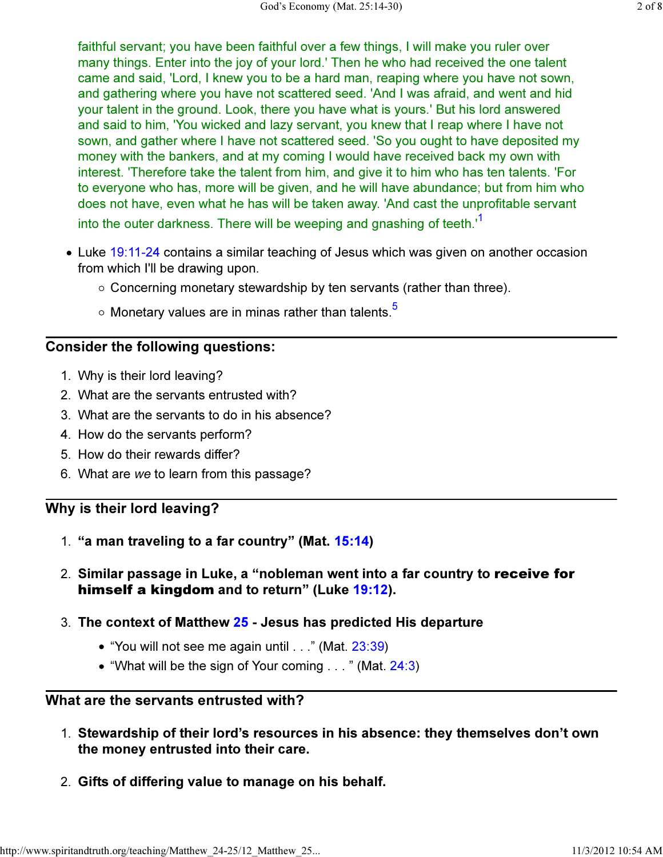faithful servant; you have been faithful over a few things, I will make you ruler over many things. Enter into the joy of your lord.' Then he who had received the one talent came and said, 'Lord, I knew you to be a hard man, reaping where you have not sown, and gathering where you have not scattered seed. 'And I was afraid, and went and hid your talent in the ground. Look, there you have what is yours.' But his lord answered and said to him, 'You wicked and lazy servant, you knew that I reap where I have not sown, and gather where I have not scattered seed. 'So you ought to have deposited my money with the bankers, and at my coming I would have received back my own with interest. 'Therefore take the talent from him, and give it to him who has ten talents. 'For to everyone who has, more will be given, and he will have abundance; but from him who does not have, even what he has will be taken away. 'And cast the unprofitable servant into the outer darkness. There will be weeping and gnashing of teeth.<sup>1</sup>

- Luke 19:11-24 contains a similar teaching of Jesus which was given on another occasion from which I'll be drawing upon.
	- $\circ$  Concerning monetary stewardship by ten servants (rather than three).
	- $\circ$  Monetary values are in minas rather than talents.<sup>5</sup>

#### Consider the following questions:

- 1. Why is their lord leaving?
- 2. What are the servants entrusted with?
- 3. What are the servants to do in his absence?
- 4. How do the servants perform?
- 5. How do their rewards differ?
- 6. What are we to learn from this passage?

#### Why is their lord leaving?

- 1. "a man traveling to a far country" (Mat. 15:14)
- 2. Similar passage in Luke, a "nobleman went into a far country to **receive for** himself a kingdom and to return" (Luke 19:12).
- 3. The context of Matthew <mark>25</mark> Jesus has predicted His departure
	- "You will not see me again until . . ." (Mat. 23:39)
	- "What will be the sign of Your coming  $\ldots$ " (Mat. 24:3)

#### What are the servants entrusted with?

- Stewardship of their lord's resources in his absence: they themselves don't own 1. the money entrusted into their care.
- 2. Gifts of differing value to manage on his behalf.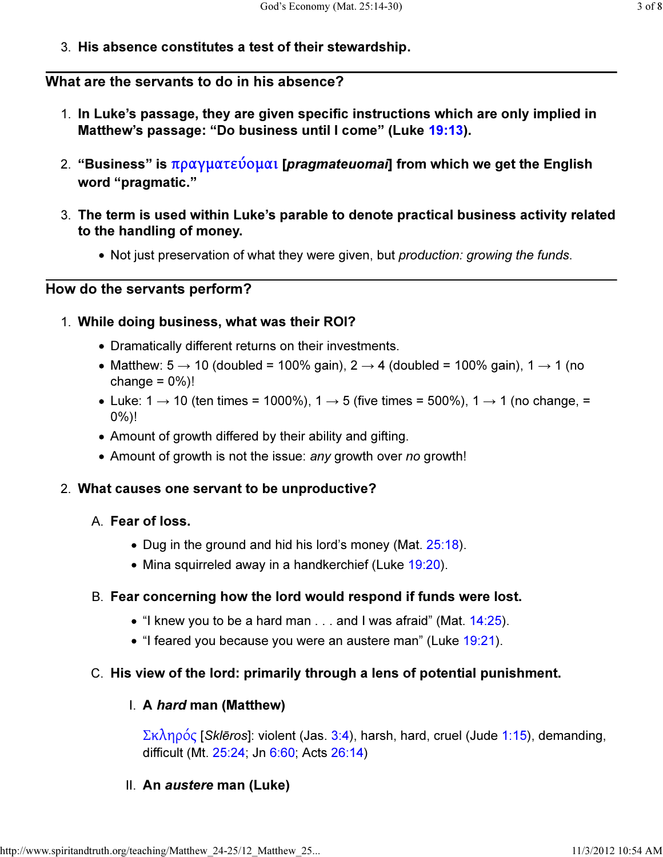3. His absence constitutes a test of their stewardship.

## What are the servants to do in his absence?

- 1. In Luke's passage, they are given specific instructions which are only implied in Matthew's passage: "Do business until I come" (Luke 19:13).
- 2. "Business" is πραγματεύομαι [*pragmateuomai*] from which we get the English word "pragmatic."
- The term is used within Luke's parable to denote practical business activity related 3. to the handling of money.
	- Not just preservation of what they were given, but *production: growing the funds*.

#### How do the servants perform?

## While doing business, what was their ROI? 1.

- Dramatically different returns on their investments.
- Matthew:  $5 \rightarrow 10$  (doubled = 100% gain),  $2 \rightarrow 4$  (doubled = 100% gain),  $1 \rightarrow 1$  (no change  $= 0\%$ !
- Luke: 1  $\rightarrow$  10 (ten times = 1000%), 1  $\rightarrow$  5 (five times = 500%), 1  $\rightarrow$  1 (no change, = 0%)!
- Amount of growth differed by their ability and gifting.
- Amount of growth is not the issue: any growth over no growth!

#### 2. What causes one servant to be unproductive?

## A. **Fear of loss.**

- Dug in the ground and hid his lord's money (Mat. 25:18).
- Mina squirreled away in a handkerchief (Luke 19:20).

## B. Fear concerning how the lord would respond if funds were lost.

- $\bullet$  "I knew you to be a hard man . . . and I was afraid" (Mat.  $14:25$ ).
- $\bullet$  "I feared you because you were an austere man" (Luke 19:21).

## C. His view of the lord: primarily through a lens of potential punishment.

## l. A *hard* man (Matthew)

Σκληρός [Sklēros]: violent (Jas. 3:4), harsh, hard, cruel (Jude 1:15), demanding, difficult (Mt. 25:24; Jn 6:60; Acts 26:14)

# II. An austere man (Luke)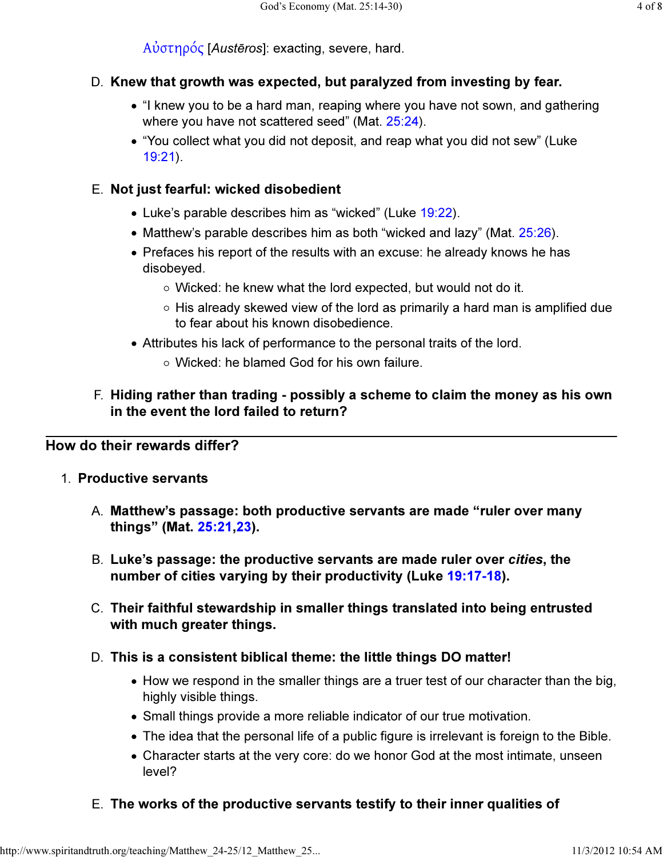Αὐστηρός [Austēros]: exacting, severe, hard.

## D. Knew that growth was expected, but paralyzed from investing by fear.

- "I knew you to be a hard man, reaping where you have not sown, and gathering where you have not scattered seed" (Mat. 25:24).
- "You collect what you did not deposit, and reap what you did not sew" (Luke 19:21).

## Not just fearful: wicked disobedient E.

- Luke's parable describes him as "wicked" (Luke 19:22).
- Matthew's parable describes him as both "wicked and lazy" (Mat. 25:26).
- Prefaces his report of the results with an excuse: he already knows he has disobeyed.
	- Wicked: he knew what the lord expected, but would not do it.
	- $\circ$  His already skewed view of the lord as primarily a hard man is amplified due to fear about his known disobedience.
- Attributes his lack of performance to the personal traits of the lord.
	- Wicked: he blamed God for his own failure.

#### F. Hiding rather than trading - possibly a scheme to claim the money as his own in the event the lord failed to return?

## How do their rewards differ?

- 1. Productive servants
	- Matthew's passage: both productive servants are made "ruler over many A. things" (Mat. 25:21,23).
	- B. Luke's passage: the productive servants are made ruler over cities, the number of cities varying by their productivity (Luke 19:17-18).
	- Their faithful stewardship in smaller things translated into being entrusted C. with much greater things.
	- D. This is a consistent biblical theme: the little things DO matter!
		- How we respond in the smaller things are a truer test of our character than the big, highly visible things.
		- Small things provide a more reliable indicator of our true motivation.
		- The idea that the personal life of a public figure is irrelevant is foreign to the Bible.
		- Character starts at the very core: do we honor God at the most intimate, unseen level?
	- E. The works of the productive servants testify to their inner qualities of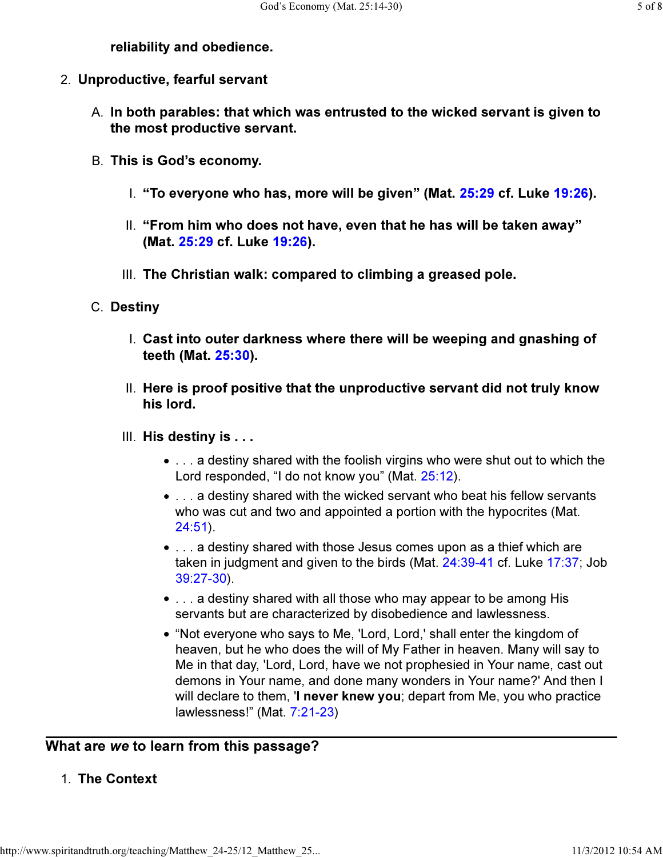## reliability and obedience.

- 2. Unproductive, fearful servant
	- <code>A.</code> In both parables: that which was entrusted to the wicked servant is given to the most productive servant.
	- B. This is God's economy.
		- I. "To everyone who has, more will be given" (Mat. 25:29 cf. Luke 19:26).
		- "From him who does not have, even that he has will be taken away" II. (Mat. 25:29 cf. Luke 19:26).
		- III. The Christian walk: compared to climbing a greased pole.
	- C. Destiny
		- Cast into outer darkness where there will be weeping and gnashing of I. teeth (Mat. 25:30).
		- II. Here is proof positive that the unproductive servant did not truly know his lord.
		- III. His destiny is . . .
			- . . . a destiny shared with the foolish virgins who were shut out to which the Lord responded, "I do not know you" (Mat. 25:12).
			- . . . a destiny shared with the wicked servant who beat his fellow servants who was cut and two and appointed a portion with the hypocrites (Mat. 24:51).
			- . . . a destiny shared with those Jesus comes upon as a thief which are taken in judgment and given to the birds (Mat. 24:39-41 cf. Luke 17:37; Job 39:27-30).
			- . . . a destiny shared with all those who may appear to be among His servants but are characterized by disobedience and lawlessness.
			- "Not everyone who says to Me, 'Lord, Lord,' shall enter the kingdom of heaven, but he who does the will of My Father in heaven. Many will say to Me in that day, 'Lord, Lord, have we not prophesied in Your name, cast out demons in Your name, and done many wonders in Your name?' And then I will declare to them, 'I never knew you; depart from Me, you who practice lawlessness!" (Mat. 7:21-23)

# What are we to learn from this passage?

# 1. The Context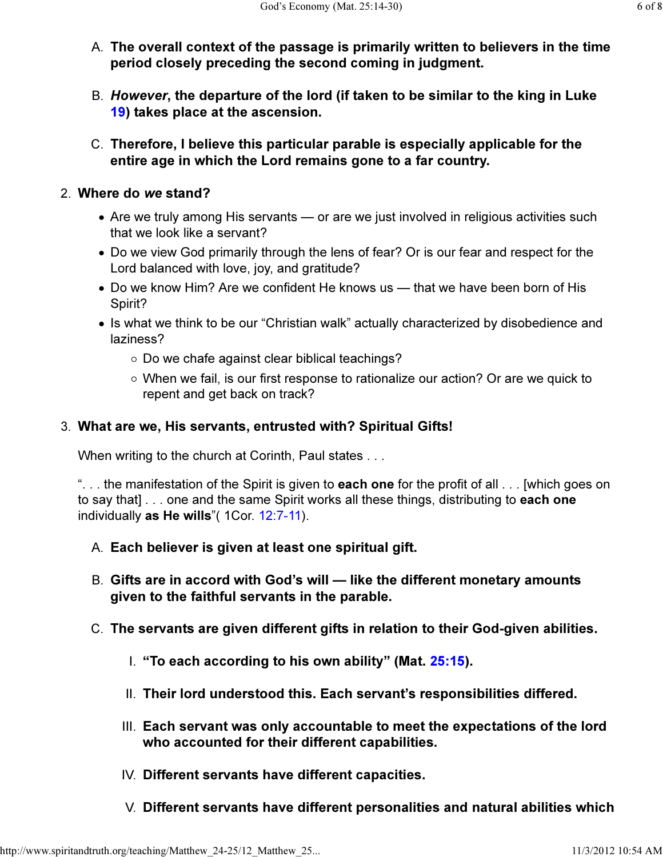- The overall context of the passage is primarily written to believers in the time A. period closely preceding the second coming in judgment.
- B. *However*, the departure of the lord (if taken to be similar to the king in Luke 19) takes place at the ascension.
- Therefore, I believe this particular parable is especially applicable for the C. entire age in which the Lord remains gone to a far country.

#### Where do we stand? 2.

- Are we truly among His servants or are we just involved in religious activities such that we look like a servant?
- Do we view God primarily through the lens of fear? Or is our fear and respect for the Lord balanced with love, joy, and gratitude?
- Do we know Him? Are we confident He knows us that we have been born of His Spirit?
- Is what we think to be our "Christian walk" actually characterized by disobedience and laziness?
	- Do we chafe against clear biblical teachings?
	- When we fail, is our first response to rationalize our action? Or are we quick to repent and get back on track?

## What are we, His servants, entrusted with? Spiritual Gifts! 3.

When writing to the church at Corinth, Paul states . . .

"... the manifestation of the Spirit is given to **each one** for the profit of all  $\ldots$  [which goes on to say that] . . . one and the same Spirit works all these things, distributing to each one individually as He wills"( 1Cor. 12:7-11).

- A. Each believer is given at least one spiritual gift.
- Gifts are in accord with God's will like the different monetary amounts B. given to the faithful servants in the parable.
- C. The servants are given different gifts in relation to their God-given abilities.
	- I. "To each according to his own ability" (Mat. 25:15).
	- II. Their lord understood this. Each servant's responsibilities differed.
	- III. Each servant was only accountable to meet the expectations of the lord who accounted for their different capabilities.
	- IV. Different servants have different capacities.
	- V. Different servants have different personalities and natural abilities which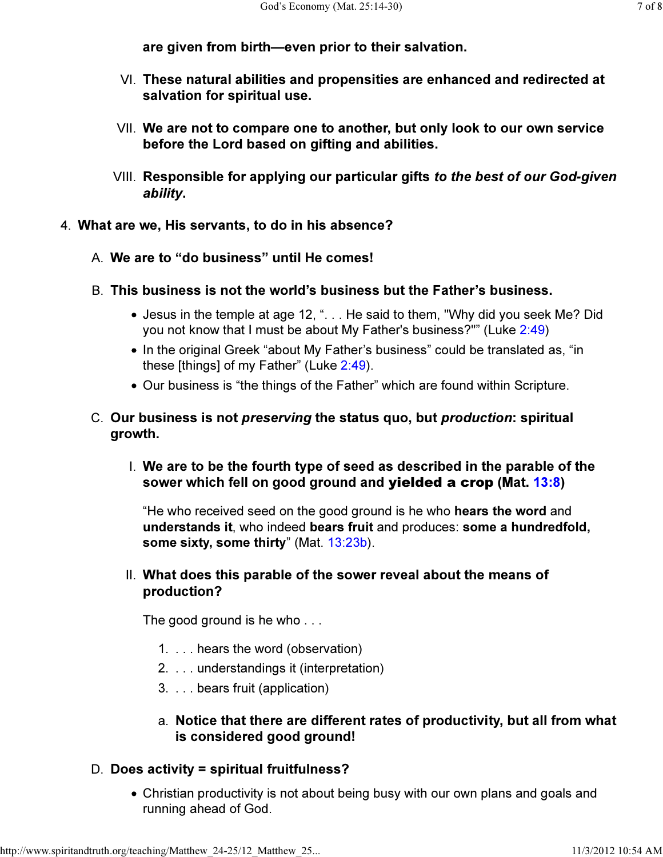are given from birth—even prior to their salvation.

- $\vee$ l. These natural abilities and propensities are enhanced and redirected at salvation for spiritual use.
- We are not to compare one to another, but only look to our own service VII. before the Lord based on gifting and abilities.
- VIII. Responsible for applying our particular gifts *to the best of our God-given* ability.
- 4. What are we, His servants, to do in his absence?
	- A. We are to "do business" until He comes!
	- This business is not the world's business but the Father's business. B.
		- Jesus in the temple at age 12, ". . . He said to them, "Why did you seek Me? Did you not know that I must be about My Father's business?"" (Luke 2:49)
		- In the original Greek "about My Father's business" could be translated as, "in these [things] of my Father" (Luke 2:49).
		- Our business is "the things of the Father" which are found within Scripture.
	- C. Our business is not *preserving* the status quo, but *production*: spiritual growth.
		- We are to be the fourth type of seed as described in the parable of the I. sower which fell on good ground and **yielded a crop** (Mat. 13:8)

"He who received seed on the good ground is he who hears the word and understands it, who indeed bears fruit and produces: some a hundredfold, some sixty, some thirty" (Mat. 13:23b).

#### II. What does this parable of the sower reveal about the means of production?

The good ground is he who ...

- 1. . . . hears the word (observation)
- 2. . . . understandings it (interpretation)
- 3. . . . bears fruit (application)

#### Notice that there are different rates of productivity, but all from what a. is considered good ground!

#### D. Does activity = spiritual fruitfulness?

Christian productivity is not about being busy with our own plans and goals and running ahead of God.